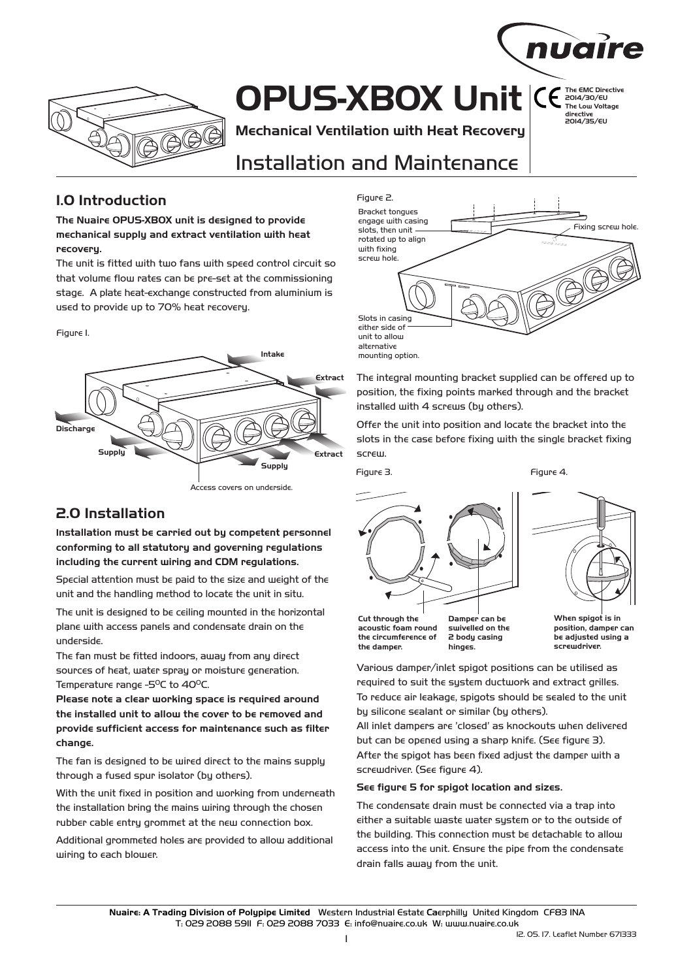

# **OPUS-XBOX Unit**

**Mechanical Ventilation with Heat Recovery**

# Installation and Maintenance

## **1.0 Introduction**

**The Nuaire OPUS-XBOX unit is designed to provide mechanical supply and extract ventilation with heat recovery.**

The unit is fitted with two fans with speed control circuit so that volume flow rates can be pre-set at the commissioning stage. A plate heat-exchange constructed from aluminium is used to provide up to 70% heat recovery.

Figure 1.



Access covers on underside.

# **2.0 Installation**

**Installation must be carried out by competent personnel conforming to all statutory and governing regulations including the current wiring and CDM regulations.**

Special attention must be paid to the size and weight of the unit and the handling method to locate the unit in situ.

The unit is designed to be ceiling mounted in the horizontal plane with access panels and condensate drain on the underside.

The fan must be fitted indoors, away from any direct sources of heat, water spray or moisture generation. Temperature range -5<sup>o</sup>C to 40<sup>o</sup>C.

**Please note a clear working space is required around the installed unit to allow the cover to be removed and provide sufficient access for maintenance such as filter change.**

The fan is designed to be wired direct to the mains supply through a fused spur isolator (by others).

With the unit fixed in position and working from underneath the installation bring the mains wiring through the chosen rubber cable entry grommet at the new connection box.

Additional grommeted holes are provided to allow additional wiring to each blower.



The integral mounting bracket supplied can be offered up to position, the fixing points marked through and the bracket installed with 4 screws (by others).

Offer the unit into position and locate the bracket into the slots in the case before fixing with the single bracket fixing screw.

Figure 3.

Figure 4.





**The EMC Directive**  2014/30/EU **The Low Voltage directive**  2014/35/EU

nuaire

**Cut through the acoustic foam round the circumference of the damper.**

**Damper can be swivelled on the 2 body casing hinges.**

**When spigot is in position, damper can be adjusted using a screwdriver.**

Various damper/inlet spigot positions can be utilised as required to suit the system ductwork and extract grilles. To reduce air leakage, spigots should be sealed to the unit by silicone sealant or similar (by others).

All inlet dampers are 'closed' as knockouts when delivered but can be opened using a sharp knife. (See figure 3). After the spigot has been fixed adjust the damper with a screwdriver. (See figure 4).

#### **See figure 5 for spigot location and sizes.**

The condensate drain must be connected via a trap into either a suitable waste water system or to the outside of the building. This connection must be detachable to allow access into the unit. Ensure the pipe from the condensate drain falls away from the unit.

Nuaire: A Trading Division of Polypipe Limited Western Industrial Estate Caerphillu United Kingdom CF83 INA T: 029 2088 5911 F: 029 2088 7033 E: info@nuaire.co.uk W: www.nuaire.co.uk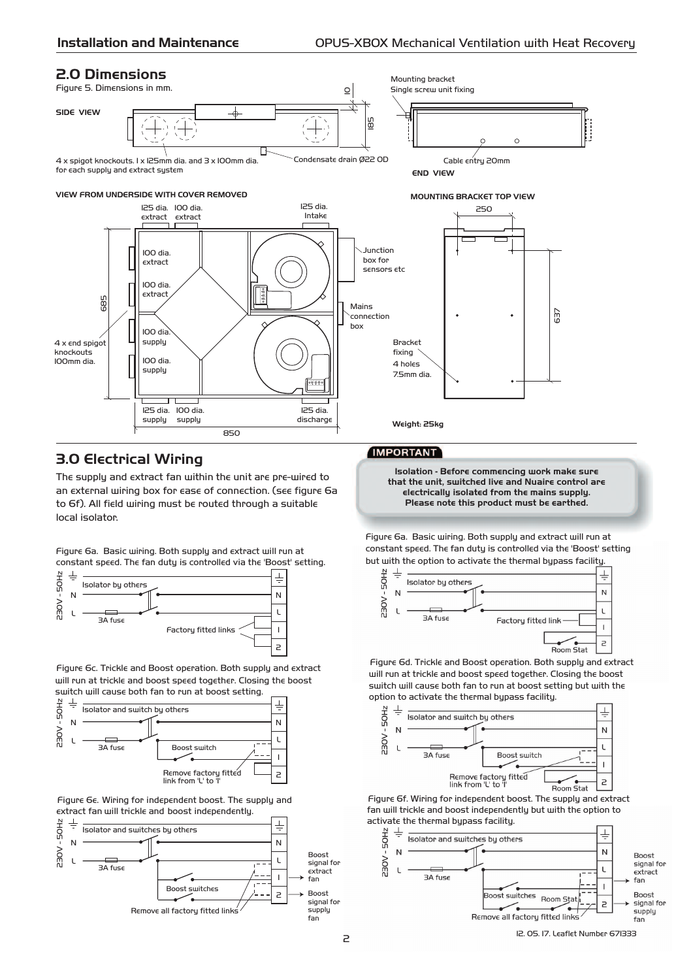### **2.0 Dimensions**

Figure 5. Dimensions in mm.



#### **VIEW FROM UNDERSIDE WITH COVER REMOVED**



### **3.0 Electrical Wiring**

The supply and extract fan within the unit are pre-wired to an external wiring box for ease of connection. (see figure 6a to 6f). All field wiring must be routed through a suitable local isolator.

Figure 6a. Basic wiring. Both supply and extract will run at constant speed. The fan duty is controlled via the 'Boost' setting.



Figure 6c. Trickle and Boost operation. Both supply and extract will run at trickle and boost speed together. Closing the boost switch will cause both fan to run at boost setting.



Figure 6e. Wiring for independent boost. The supply and extract fan will trickle and boost independently.





#### **MOUNTING BRACKET TOP VIEW**



**Weight: 25kg**

#### **IMPORTANT**

**Isolation - Before commencing work make sure that the unit, switched live and Nuaire control are electrically isolated from the mains supply. Please note this product must be earthed.** 

Figure 6a. Basic wiring. Both supply and extract will run at constant speed. The fan duty is controlled via the 'Boost' setting but with the option to activate the thermal bypass facility.



Figure 6d. Trickle and Boost operation. Both supply and extract will run at trickle and boost speed together. Closing the boost switch will cause both fan to run at boost setting but with the option to activate the thermal bypass facility.



Figure 6f. Wiring for independent boost. The supply and extract fan will trickle and boost independently but with the option to



12. 05. 17. Leaflet Number 671333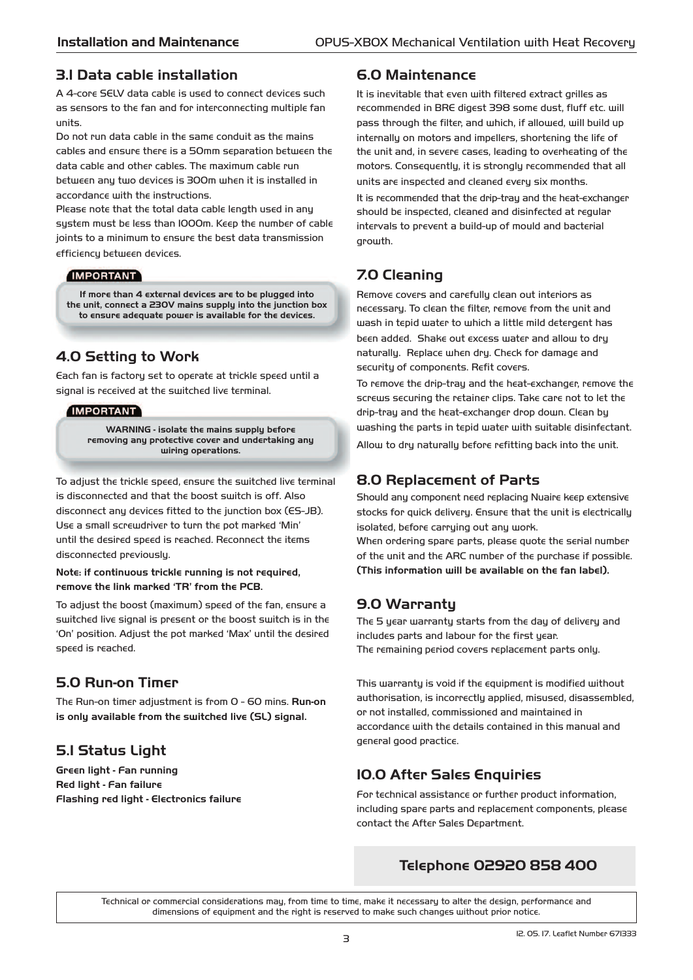### 3.1 Data cable installation

A 4-core SELV data cable is used to connect devices such as sensors to the fan and for interconnecting multiple fan units.

Do not run data cable in the same conduit as the mains cables and ensure there is a 50mm separation between the data cable and other cables. The maximum cable run between any two devices is 300m when it is installed in accordance with the instructions.

Please note that the total data cable length used in any system must be less than 1000m. Keep the number of cable joints to a minimum to ensure the best data transmission efficiency between devices.

#### **IMPORTANT**

**If more than 4 external devices are to be plugged into the unit, connect a 230V mains supply into the junction box to ensure adequate power is available for the devices.**

# **4.0 Setting to Work**

Each fan is factory set to operate at trickle speed until a signal is received at the switched live terminal.

#### **IMPORTANT**

**WARNING - isolate the mains supply before removing any protective cover and undertaking any wiring operations.**

To adjust the trickle speed, ensure the switched live terminal is disconnected and that the boost switch is off. Also disconnect any devices fitted to the junction box (ES-JB). Use a small screwdriver to turn the pot marked 'Min' until the desired speed is reached. Reconnect the items disconnected previously.

#### **Note: if continuous trickle running is not required, remove the link marked 'TR' from the PCB.**

To adjust the boost (maximum) speed of the fan, ensure a switched live signal is present or the boost switch is in the 'On' position. Adjust the pot marked 'Max' until the desired speed is reached.

# **5.0 Run-on Timer**

The Run-on timer adjustment is from 0 - 60 mins. **Run-on is only available from the switched live (SL) signal.**

# **5.1 Status Light**

**Green light - Fan running Red light - Fan failure Flashing red light - Electronics failure**

### **6.0 Maintenance**

It is inevitable that even with filtered extract grilles as recommended in BRE digest 398 some dust, fluff etc. will pass through the filter, and which, if allowed, will build up internally on motors and impellers, shortening the life of the unit and, in severe cases, leading to overheating of the motors. Consequently, it is strongly recommended that all units are inspected and cleaned every six months.

It is recommended that the drip-tray and the heat-exchanger should be inspected, cleaned and disinfected at regular intervals to prevent a build-up of mould and bacterial growth.

# **7.0 Cleaning**

Remove covers and carefully clean out interiors as necessary. To clean the filter, remove from the unit and wash in tepid water to which a little mild detergent has been added. Shake out excess water and allow to dry naturally. Replace when dry. Check for damage and security of components. Refit covers.

To remove the drip-tray and the heat-exchanger, remove the screws securing the retainer clips. Take care not to let the drip-tray and the heat-exchanger drop down. Clean by washing the parts in tepid water with suitable disinfectant. Allow to dry naturally before refitting back into the unit.

### **8.0 Replacement of Parts**

Should any component need replacing Nuaire keep extensive stocks for quick delivery. Ensure that the unit is electrically isolated, before carrying out any work.

When ordering spare parts, please quote the serial number of the unit and the ARC number of the purchase if possible. **(This information will be available on the fan label).**

# **9.0 Warranty**

The 5 year warranty starts from the day of delivery and includes parts and labour for the first year. The remaining period covers replacement parts only.

This warranty is void if the equipment is modified without authorisation, is incorrectly applied, misused, disassembled, or not installed, commissioned and maintained in accordance with the details contained in this manual and general good practice.

# 10.0 After Sales Enquiries

For technical assistance or further product information, including spare parts and replacement components, please contact the After Sales Department.

# **Telephone 02920 858 400**

Technical or commercial considerations may, from time to time, make it necessary to alter the design, performance and dimensions of equipment and the right is reserved to make such changes without prior notice.